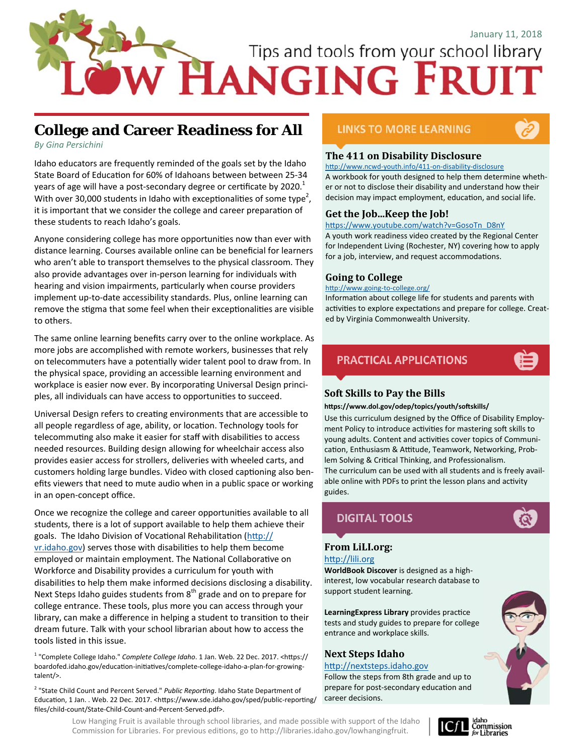# Tips and tools from your school library

# **College and Career Readiness for All**

*By Gina Persichini* 

Idaho educators are frequently reminded of the goals set by the Idaho State Board of Education for 60% of Idahoans between between 25-34 years of age will have a post-secondary degree or certificate by 2020. $^{\rm 1}$ With over 30,000 students in Idaho with exceptionalities of some type<sup>2</sup>, it is important that we consider the college and career preparation of these students to reach Idaho's goals.

Anyone considering college has more opportunities now than ever with distance learning. Courses available online can be beneficial for learners who aren't able to transport themselves to the physical classroom. They also provide advantages over in‐person learning for individuals with hearing and vision impairments, particularly when course providers implement up-to-date accessibility standards. Plus, online learning can remove the stigma that some feel when their exceptionalities are visible to others.

The same online learning benefits carry over to the online workplace. As more jobs are accomplished with remote workers, businesses that rely on telecommuters have a potentially wider talent pool to draw from. In the physical space, providing an accessible learning environment and workplace is easier now ever. By incorporating Universal Design principles, all individuals can have access to opportunities to succeed.

Universal Design refers to creating environments that are accessible to all people regardless of age, ability, or location. Technology tools for telecommuting also make it easier for staff with disabilities to access needed resources. Building design allowing for wheelchair access also provides easier access for strollers, deliveries with wheeled carts, and customers holding large bundles. Video with closed captioning also benefits viewers that need to mute audio when in a public space or working in an open‐concept office.

Once we recognize the college and career opportunities available to all students, there is a lot of support available to help them achieve their goals. The Idaho Division of Vocational Rehabilitation (http:// vr.idaho.gov) serves those with disabilities to help them become employed or maintain employment. The National Collaborative on Workforce and Disability provides a curriculum for youth with disabilities to help them make informed decisions disclosing a disability. Next Steps Idaho guides students from  $8<sup>th</sup>$  grade and on to prepare for college entrance. These tools, plus more you can access through your library, can make a difference in helping a student to transition to their dream future. Talk with your school librarian about how to access the tools listed in this issue.

<sup>1</sup> "Complete College Idaho." *Complete College Idaho*. 1 Jan. Web. 22 Dec. 2017. <https:// boardofed.idaho.gov/education-initiatives/complete-college-idaho-a-plan-for-growingtalent/>.

<sup>2</sup> "State Child Count and Percent Served." *Public Reporting*. Idaho State Department of Education, 1 Jan. . Web. 22 Dec. 2017. <https://www.sde.idaho.gov/sped/public-reporting/ files/child‐count/State‐Child‐Count‐and‐Percent‐Served.pdf>.

### **LINKS TO MORE LEARNING**



### **The 411 on Disability Disclosure**

http://www.ncwd-youth.info/411-on-disability-disclosure A workbook for youth designed to help them determine wheth‐ er or not to disclose their disability and understand how their decision may impact employment, education, and social life.

### **Get the Job...Keep the Job!**

https://www.youtube.com/watch?v=GosoTn\_D8nY

A youth work readiness video created by the Regional Center for Independent Living (Rochester, NY) covering how to apply for a job, interview, and request accommodations.

### **Going to College**

http://www.going-to-college.org/

Information about college life for students and parents with activities to explore expectations and prepare for college. Created by Virginia Commonwealth University.



### **Soft Skills to Pay the Bills**

 $h$ ttps://www.dol.gov/odep/topics/youth/softskills/

Use this curriculum designed by the Office of Disability Employ‐ ment Policy to introduce activities for mastering soft skills to young adults. Content and activities cover topics of Communication, Enthusiasm & Attitude, Teamwork, Networking, Problem Solving & Critical Thinking, and Professionalism. The curriculum can be used with all students and is freely avail‐ able online with PDFs to print the lesson plans and activity guides.



### **From LiLI.org:**

### http://lili.org

**WorldBook Discover** is designed as a high‐ interest, low vocabular research database to support student learning.

**LearningExpress Library** provides practice tests and study guides to prepare for college entrance and workplace skills.

## **Next Steps Idaho**

### http://nextsteps.idaho.gov

Follow the steps from 8th grade and up to prepare for post-secondary education and career decisions.



Low Hanging Fruit is available through school libraries, and made possible with support of the Idaho Commission for Libraries. For previous editions, go to http://libraries.idaho.gov/lowhangingfruit.